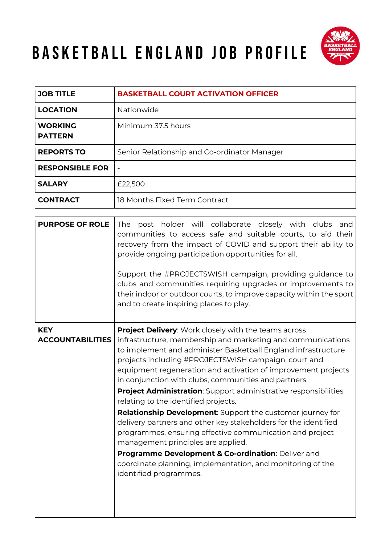## BASKETBALL ENGLAND JOB PROFILE



| <b>JOB TITLE</b>                 | <b>BASKETBALL COURT ACTIVATION OFFICER</b>   |
|----------------------------------|----------------------------------------------|
| <b>LOCATION</b>                  | Nationwide                                   |
| <b>WORKING</b><br><b>PATTERN</b> | Minimum 37.5 hours                           |
| <b>REPORTS TO</b>                | Senior Relationship and Co-ordinator Manager |
| <b>RESPONSIBLE FOR</b>           | $\overline{\phantom{a}}$                     |
| <b>SALARY</b>                    | £22,500                                      |
| <b>CONTRACT</b>                  | 18 Months Fixed Term Contract                |

| <b>PURPOSE OF ROLE</b>                | post holder will collaborate closely with clubs<br>The<br>and<br>communities to access safe and suitable courts, to aid their<br>recovery from the impact of COVID and support their ability to<br>provide ongoing participation opportunities for all.<br>Support the #PROJECTSWISH campaign, providing guidance to<br>clubs and communities requiring upgrades or improvements to<br>their indoor or outdoor courts, to improve capacity within the sport<br>and to create inspiring places to play. |
|---------------------------------------|--------------------------------------------------------------------------------------------------------------------------------------------------------------------------------------------------------------------------------------------------------------------------------------------------------------------------------------------------------------------------------------------------------------------------------------------------------------------------------------------------------|
| <b>KEY</b><br><b>ACCOUNTABILITIES</b> | <b>Project Delivery:</b> Work closely with the teams across<br>infrastructure, membership and marketing and communications<br>to implement and administer Basketball England infrastructure<br>projects including #PROJECTSWISH campaign, court and<br>equipment regeneration and activation of improvement projects<br>in conjunction with clubs, communities and partners.<br><b>Project Administration:</b> Support administrative responsibilities                                                 |
|                                       | relating to the identified projects.<br><b>Relationship Development:</b> Support the customer journey for<br>delivery partners and other key stakeholders for the identified<br>programmes, ensuring effective communication and project<br>management principles are applied.<br>Programme Development & Co-ordination: Deliver and<br>coordinate planning, implementation, and monitoring of the<br>identified programmes.                                                                           |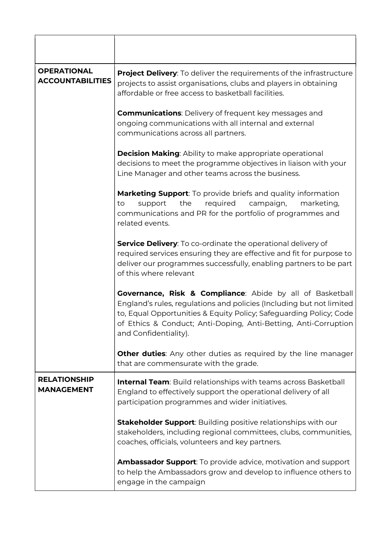| <b>OPERATIONAL</b><br><b>ACCOUNTABILITIES</b> | <b>Project Delivery:</b> To deliver the requirements of the infrastructure<br>projects to assist organisations, clubs and players in obtaining<br>affordable or free access to basketball facilities.                                                                                               |
|-----------------------------------------------|-----------------------------------------------------------------------------------------------------------------------------------------------------------------------------------------------------------------------------------------------------------------------------------------------------|
|                                               | <b>Communications:</b> Delivery of frequent key messages and<br>ongoing communications with all internal and external<br>communications across all partners.                                                                                                                                        |
|                                               | <b>Decision Making:</b> Ability to make appropriate operational<br>decisions to meet the programme objectives in liaison with your<br>Line Manager and other teams across the business.                                                                                                             |
|                                               | <b>Marketing Support:</b> To provide briefs and quality information<br>the<br>required<br>campaign,<br>marketing,<br>support<br>to<br>communications and PR for the portfolio of programmes and<br>related events.                                                                                  |
|                                               | <b>Service Delivery:</b> To co-ordinate the operational delivery of<br>required services ensuring they are effective and fit for purpose to<br>deliver our programmes successfully, enabling partners to be part<br>of this where relevant                                                          |
|                                               | Governance, Risk & Compliance: Abide by all of Basketball<br>England's rules, regulations and policies (Including but not limited<br>to, Equal Opportunities & Equity Policy; Safeguarding Policy; Code<br>of Ethics & Conduct; Anti-Doping, Anti-Betting, Anti-Corruption<br>and Confidentiality). |
|                                               | <b>Other duties:</b> Any other duties as required by the line manager<br>that are commensurate with the grade.                                                                                                                                                                                      |
| <b>RELATIONSHIP</b><br><b>MANAGEMENT</b>      | <b>Internal Team:</b> Build relationships with teams across Basketball<br>England to effectively support the operational delivery of all<br>participation programmes and wider initiatives.                                                                                                         |
|                                               | <b>Stakeholder Support:</b> Building positive relationships with our<br>stakeholders, including regional committees, clubs, communities,<br>coaches, officials, volunteers and key partners.                                                                                                        |
|                                               | <b>Ambassador Support:</b> To provide advice, motivation and support<br>to help the Ambassadors grow and develop to influence others to<br>engage in the campaign                                                                                                                                   |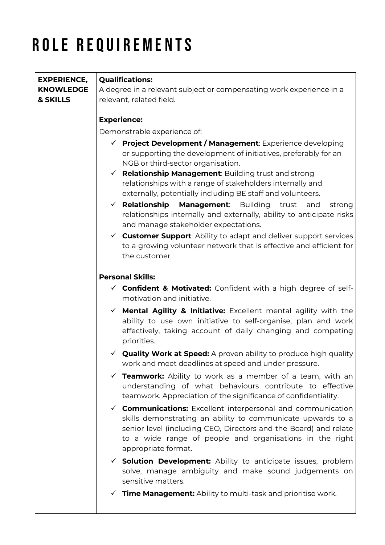## ROLE REQUIREMENTS

| <b>EXPERIENCE,</b> | <b>Qualifications:</b>                                                                                                                                                                                                                                                                   |
|--------------------|------------------------------------------------------------------------------------------------------------------------------------------------------------------------------------------------------------------------------------------------------------------------------------------|
| <b>KNOWLEDGE</b>   | A degree in a relevant subject or compensating work experience in a                                                                                                                                                                                                                      |
| & SKILLS           | relevant, related field.                                                                                                                                                                                                                                                                 |
|                    |                                                                                                                                                                                                                                                                                          |
|                    | <b>Experience:</b>                                                                                                                                                                                                                                                                       |
|                    | Demonstrable experience of:                                                                                                                                                                                                                                                              |
|                    | $\checkmark$ Project Development / Management: Experience developing<br>or supporting the development of initiatives, preferably for an<br>NGB or third-sector organisation.<br>$\checkmark$ Relationship Management: Building trust and strong                                          |
|                    | relationships with a range of stakeholders internally and<br>externally, potentially including BE staff and volunteers.                                                                                                                                                                  |
|                    | $\checkmark$ Relationship<br>Management:<br><b>Building</b><br>trust<br>and<br>strong<br>relationships internally and externally, ability to anticipate risks<br>and manage stakeholder expectations.                                                                                    |
|                    | $\checkmark$ Customer Support: Ability to adapt and deliver support services<br>to a growing volunteer network that is effective and efficient for<br>the customer                                                                                                                       |
|                    | <b>Personal Skills:</b>                                                                                                                                                                                                                                                                  |
|                    | $\checkmark$ Confident & Motivated: Confident with a high degree of self-<br>motivation and initiative.                                                                                                                                                                                  |
|                    | $\checkmark$ Mental Agility & Initiative: Excellent mental agility with the<br>ability to use own initiative to self-organise, plan and work<br>effectively, taking account of daily changing and competing<br>priorities.                                                               |
|                    | $\checkmark$ Quality Work at Speed: A proven ability to produce high quality<br>work and meet deadlines at speed and under pressure.                                                                                                                                                     |
|                    | <b>√ Teamwork:</b> Ability to work as a member of a team, with an<br>understanding of what behaviours contribute to effective<br>teamwork. Appreciation of the significance of confidentiality.                                                                                          |
|                    | √ <b>Communications:</b> Excellent interpersonal and communication<br>skills demonstrating an ability to communicate upwards to a<br>senior level (including CEO, Directors and the Board) and relate<br>to a wide range of people and organisations in the right<br>appropriate format. |
|                    | $\checkmark$ Solution Development: Ability to anticipate issues, problem<br>solve, manage ambiguity and make sound judgements on<br>sensitive matters.                                                                                                                                   |
|                    | $\checkmark$ Time Management: Ability to multi-task and prioritise work.                                                                                                                                                                                                                 |